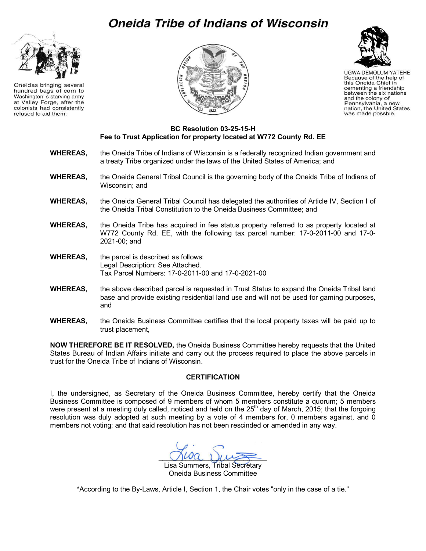## **Oneida Tribe of Indians of Wisconsin**



Oneidas bringing several hundred bags of corn to Washington's starving army at Valley Forge, after the colonists had consistently refused to aid them.





**UGWA DEMOLUM YATEHE** Because of the help of this Oneida Chief in cementing a friendship between the six nations<br>and the colony of Pennsylvania, a new nation, the United States was made possble.

## **BC Resolution 03-25-15-H Fee to Trust Application for property located at W772 County Rd. EE**

- **WHEREAS,** the Oneida Tribe of Indians of Wisconsin is a federally recognized Indian government and a treaty Tribe organized under the laws of the United States of America; and
- **WHEREAS,** the Oneida General Tribal Council is the governing body of the Oneida Tribe of Indians of Wisconsin; and
- **WHEREAS,** the Oneida General Tribal Council has delegated the authorities of Article IV, Section I of the Oneida Tribal Constitution to the Oneida Business Committee; and
- **WHEREAS,** the Oneida Tribe has acquired in fee status property referred to as property located at W772 County Rd. EE, with the following tax parcel number: 17-0-2011-00 and 17-0- 2021-00; and
- **WHEREAS,** the parcel is described as follows: Legal Description: See Attached. Tax Parcel Numbers: 17-0-2011-00 and 17-0-2021-00
- **WHEREAS,** the above described parcel is requested in Trust Status to expand the Oneida Tribal land base and provide existing residential land use and will not be used for gaming purposes, and
- **WHEREAS,** the Oneida Business Committee certifies that the local property taxes will be paid up to trust placement,

**NOW THEREFORE BE IT RESOLVED,** the Oneida Business Committee hereby requests that the United States Bureau of Indian Affairs initiate and carry out the process required to place the above parcels in trust for the Oneida Tribe of Indians of Wisconsin.

## **CERTIFICATION**

I, the undersigned, as Secretary of the Oneida Business Committee, hereby certify that the Oneida Business Committee is composed of 9 members of whom 5 members constitute a quorum; 5 members were present at a meeting duly called, noticed and held on the  $25<sup>th</sup>$  day of March, 2015; that the forgoing resolution was duly adopted at such meeting by a vote of 4 members for, 0 members against, and 0 members not voting; and that said resolution has not been rescinded or amended in any way.

 $\bigcup \omega a$   $\bigcup \omega \longrightarrow$ 

Lisa Summers, Tribal Secretary Oneida Business Committee

\*According to the By-Laws, Article I, Section 1, the Chair votes "only in the case of a tie."